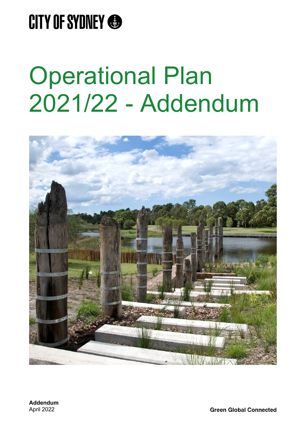

## Operational Plan 2021/22 - Addendum

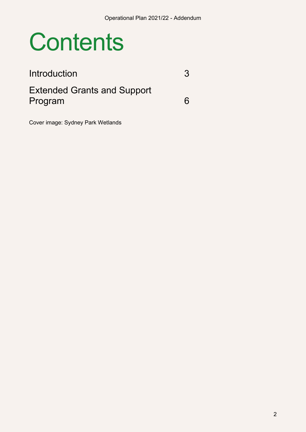## **Contents**

### [Introduction](#page-2-0) 3 [Extended Grants and Support](#page-5-0)  [Program](#page-5-0) 6

Cover image: Sydney Park Wetlands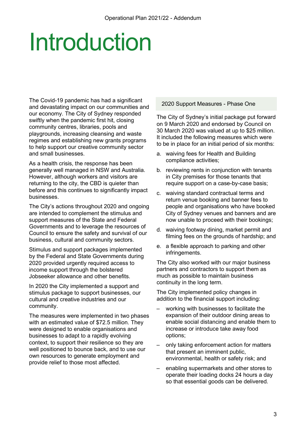# <span id="page-2-0"></span>Introduction

The Covid-19 pandemic has had a significant and devastating impact on our communities and our economy. The City of Sydney responded swiftly when the pandemic first hit, closing community centres, libraries, pools and playgrounds, increasing cleansing and waste regimes and establishing new grants programs to help support our creative community sector and small businesses.

As a health crisis, the response has been generally well managed in NSW and Australia. However, although workers and visitors are returning to the city, the CBD is quieter than before and this continues to significantly impact businesses.

The City's actions throughout 2020 and ongoing are intended to complement the stimulus and support measures of the State and Federal Governments and to leverage the resources of Council to ensure the safety and survival of our business, cultural and community sectors.

Stimulus and support packages implemented by the Federal and State Governments during 2020 provided urgently required access to income support through the bolstered Jobseeker allowance and other benefits.

In 2020 the City implemented a support and stimulus package to support businesses, our cultural and creative industries and our community.

The measures were implemented in two phases with an estimated value of \$72.5 million. They were designed to enable organisations and businesses to adapt to a rapidly evolving context, to support their resilience so they are well positioned to bounce back, and to use our own resources to generate employment and provide relief to those most affected.

#### 2020 Support Measures - Phase One

The City of Sydney's initial package put forward on 9 March 2020 and endorsed by Council on 30 March 2020 was valued at up to \$25 million. It included the following measures which were to be in place for an initial period of six months:

- a. waiving fees for Health and Building compliance activities;
- b. reviewing rents in conjunction with tenants in City premises for those tenants that require support on a case-by-case basis;
- c. waiving standard contractual terms and return venue booking and banner fees to people and organisations who have booked City of Sydney venues and banners and are now unable to proceed with their bookings;
- d. waiving footway dining, market permit and filming fees on the grounds of hardship; and
- e. a flexible approach to parking and other infringements.

The City also worked with our major business partners and contractors to support them as much as possible to maintain business continuity in the long term.

The City implemented policy changes in addition to the financial support including:

- working with businesses to facilitate the expansion of their outdoor dining areas to enable social distancing and enable them to increase or introduce take away food options;
- only taking enforcement action for matters that present an imminent public, environmental, health or safety risk; and
- enabling supermarkets and other stores to operate their loading docks 24 hours a day so that essential goods can be delivered.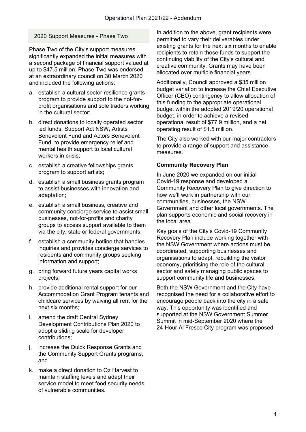### 2020 Support Measures - Phase Two

Phase Two of the City's support measures significantly expanded the initial measures with a second package of financial support valued at up to \$47.5 million. Phase Two was endorsed at an extraordinary council on 30 March 2020 and included the following actions:

- a. establish a cultural sector resilience grants program to provide support to the not-forprofit organisations and sole traders working in the cultural sector;
- b. direct donations to locally operated sector led funds, Support Act NSW, Artists Benevolent Fund and Actors Benevolent Fund, to provide emergency relief and mental health support to local cultural workers in crisis;
- c. establish a creative fellowships grants program to support artists;
- d. establish a small business grants program to assist businesses with innovation and adaptation;
- e. establish a small business, creative and community concierge service to assist small businesses, not-for-profits and charity groups to access support available to them via the city, state or federal governments;
- f. establish a community hotline that handles inquiries and provides concierge services to residents and community groups seeking information and support;
- g. bring forward future years capital works projects;
- h. provide additional rental support for our Accommodation Grant Program tenants and childcare services by waiving all rent for the next six months;
- i. amend the draft Central Sydney Development Contributions Plan 2020 to adopt a sliding scale for developer contributions;
- j. increase the Quick Response Grants and the Community Support Grants programs; and
- k. make a direct donation to Oz Harvest to maintain staffing levels and adapt their service model to meet food security needs of vulnerable communities.

In addition to the above, grant recipients were permitted to vary their deliverables under existing grants for the next six months to enable recipients to retain those funds to support the continuing viability of the City's cultural and creative community. Grants may have been allocated over multiple financial years.

Additionally, Council approved a \$35 million budget variation to increase the Chief Executive Officer (CEO) contingency to allow allocation of this funding to the appropriate operational budget within the adopted 2019/20 operational budget, in order to achieve a revised operational result of \$77.9 million, and a net operating result of \$1.5 million.

The City also worked with our major contractors to provide a range of support and assistance measures.

#### **Community Recovery Plan**

In June 2020 we expanded on our initial Covid-19 response and developed a Community Recovery Plan to give direction to how we'll work in partnership with our communities, businesses, the NSW Government and other local governments. The plan supports economic and social recovery in the local area.

Key goals of the City's Covid-19 Community Recovery Plan include working together with the NSW Government where actions must be coordinated, supporting businesses and organisations to adapt, rebuilding the visitor economy, prioritising the role of the cultural sector and safely managing public spaces to support community life and businesses.

Both the NSW Government and the City have recognised the need for a collaborative effort to encourage people back into the city in a safe way. This opportunity was identified and supported at the NSW Government Summer Summit in mid-September 2020 where the 24-Hour Al Fresco City program was proposed.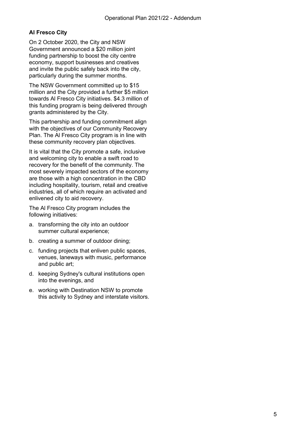### **Al Fresco City**

On 2 October 2020, the City and NSW Government announced a \$20 million joint funding partnership to boost the city centre economy, support businesses and creatives and invite the public safely back into the city, particularly during the summer months.

The NSW Government committed up to \$15 million and the City provided a further \$5 million towards Al Fresco City initiatives. \$4.3 million of this funding program is being delivered through grants administered by the City.

This partnership and funding commitment align with the objectives of our Community Recovery Plan. The Al Fresco City program is in line with these community recovery plan objectives.

It is vital that the City promote a safe, inclusive and welcoming city to enable a swift road to recovery for the benefit of the community. The most severely impacted sectors of the economy are those with a high concentration in the CBD including hospitality, tourism, retail and creative industries, all of which require an activated and enlivened city to aid recovery.

The Al Fresco City program includes the following initiatives:

- a. transforming the city into an outdoor summer cultural experience;
- b. creating a summer of outdoor dining;
- c. funding projects that enliven public spaces, venues, laneways with music, performance and public art;
- d. keeping Sydney's cultural institutions open into the evenings, and
- e. working with Destination NSW to promote this activity to Sydney and interstate visitors.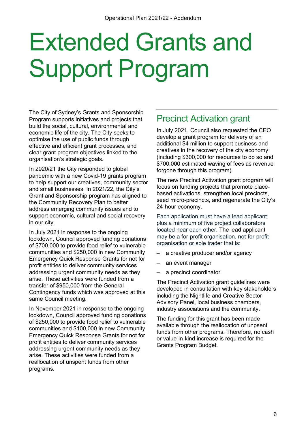# <span id="page-5-0"></span>Extended Grants and Support Program

The City of Sydney's Grants and Sponsorship Program supports initiatives and projects that build the social, cultural, environmental and economic life of the city. The City seeks to optimise the use of public funds through effective and efficient grant processes, and clear grant program objectives linked to the organisation's strategic goals.

In 2020/21 the City responded to global pandemic with a new Covid-19 grants program to help support our creatives, community sector and small businesses. In 2021/22, the City's Grant and Sponsorship program has aligned to the Community Recovery Plan to better address emerging community issues and to support economic, cultural and social recovery in our city.

In July 2021 in response to the ongoing lockdown, Council approved funding donations of \$700,000 to provide food relief to vulnerable communities and \$250,000 in new Community Emergency Quick Response Grants for not for profit entities to deliver community services addressing urgent community needs as they arise. These activities were funded from a transfer of \$950,000 from the General Contingency funds which was approved at this same Council meeting.

In November 2021 in response to the ongoing lockdown, Council approved funding donations of \$250,000 to provide food relief to vulnerable communities and \$100,000 in new Community Emergency Quick Response Grants for not for profit entities to deliver community services addressing urgent community needs as they arise. These activities were funded from a reallocation of unspent funds from other programs.

### Precinct Activation grant

In July 2021, Council also requested the CEO develop a grant program for delivery of an additional \$4 million to support business and creatives in the recovery of the city economy (including \$300,000 for resources to do so and \$700,000 estimated waving of fees as revenue forgone through this program).

The new Precinct Activation grant program will focus on funding projects that promote placebased activations, strengthen local precincts, seed micro-precincts, and regenerate the City's 24-hour economy.

Each application must have a lead applicant plus a minimum of five project collaborators located near each other. The lead applicant may be a for-profit organisation, not-for-profit organisation or sole trader that is:

- a creative producer and/or agency
- an event manager
- a precinct coordinator.

The Precinct Activation grant guidelines were developed in consultation with key stakeholders including the Nightlife and Creative Sector Advisory Panel, local business chambers, industry associations and the community.

The funding for this grant has been made available through the reallocation of unpsent funds from other programs. Therefore, no cash or value-in-kind increase is required for the Grants Program Budget.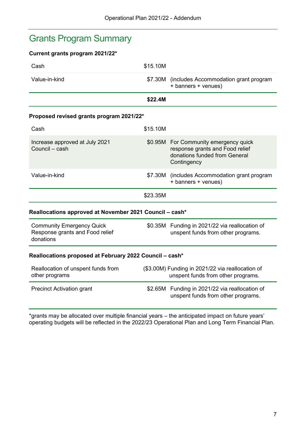### Grants Program Summary

### **Current grants program 2021/22\***

| Cash                                                                             | \$15.10M |                                                                                                                          |  |
|----------------------------------------------------------------------------------|----------|--------------------------------------------------------------------------------------------------------------------------|--|
| Value-in-kind                                                                    |          | \$7.30M (includes Accommodation grant program<br>+ banners + venues)                                                     |  |
|                                                                                  | \$22.4M  |                                                                                                                          |  |
| Proposed revised grants program 2021/22*                                         |          |                                                                                                                          |  |
| Cash                                                                             | \$15.10M |                                                                                                                          |  |
| Increase approved at July 2021<br>Council - cash                                 |          | \$0.95M For Community emergency quick<br>response grants and Food relief<br>donations funded from General<br>Contingency |  |
| Value-in-kind                                                                    |          | \$7.30M (includes Accommodation grant program<br>+ banners + venues)                                                     |  |
|                                                                                  | \$23.35M |                                                                                                                          |  |
| Reallocations approved at November 2021 Council – cash*                          |          |                                                                                                                          |  |
| <b>Community Emergency Quick</b><br>Response grants and Food relief<br>donations |          | \$0.35M Funding in 2021/22 via reallocation of<br>unspent funds from other programs.                                     |  |
| Reallocations proposed at February 2022 Council - cash*                          |          |                                                                                                                          |  |
| Reallocation of unspent funds from<br>other programs                             |          | (\$3.00M) Funding in 2021/22 via reallocation of<br>unspent funds from other programs.                                   |  |
| <b>Precinct Activation grant</b>                                                 |          | \$2.65M Funding in 2021/22 via reallocation of<br>unspent funds from other programs.                                     |  |

\*grants may be allocated over multiple financial years – the anticipated impact on future years' operating budgets will be reflected in the 2022/23 Operational Plan and Long Term Financial Plan.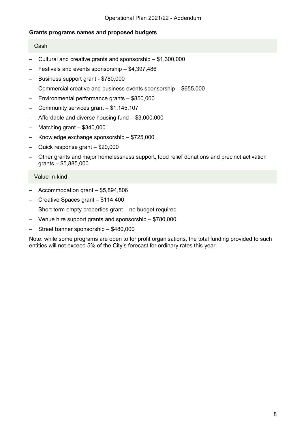### **Grants programs names and proposed budgets**

#### Cash

- Cultural and creative grants and sponsorship \$1,300,000
- Festivals and events sponsorship \$4,397,486
- Business support grant \$780,000
- Commercial creative and business events sponsorship \$655,000
- Environmental performance grants \$850,000
- Community services grant \$1,145,107
- Affordable and diverse housing fund \$3,000,000
- Matching grant \$340,000
- Knowledge exchange sponsorship \$725,000
- Quick response grant \$20,000
- Other grants and major homelessness support, food relief donations and precinct activation grants – \$5,885,000

#### Value-in-kind

- Accommodation grant \$5,894,806
- Creative Spaces grant \$114,400
- Short term empty properties grant no budget required
- Venue hire support grants and sponsorship \$780,000
- Street banner sponsorship \$480,000

Note: while some programs are open to for profit organisations, the total funding provided to such entities will not exceed 5% of the City's forecast for ordinary rates this year.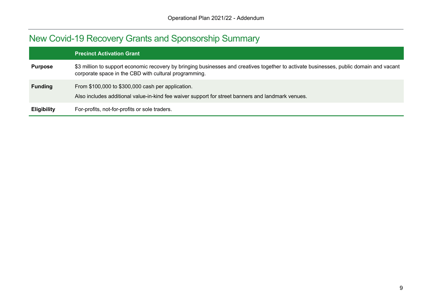### New Covid-19 Recovery Grants and Sponsorship Summary

|                    | <b>Precinct Activation Grant</b>                                                                                                                                                                 |
|--------------------|--------------------------------------------------------------------------------------------------------------------------------------------------------------------------------------------------|
| <b>Purpose</b>     | \$3 million to support economic recovery by bringing businesses and creatives together to activate businesses, public domain and vacant<br>corporate space in the CBD with cultural programming. |
| <b>Funding</b>     | From \$100,000 to \$300,000 cash per application.<br>Also includes additional value-in-kind fee waiver support for street banners and landmark venues.                                           |
| <b>Eligibility</b> | For-profits, not-for-profits or sole traders.                                                                                                                                                    |